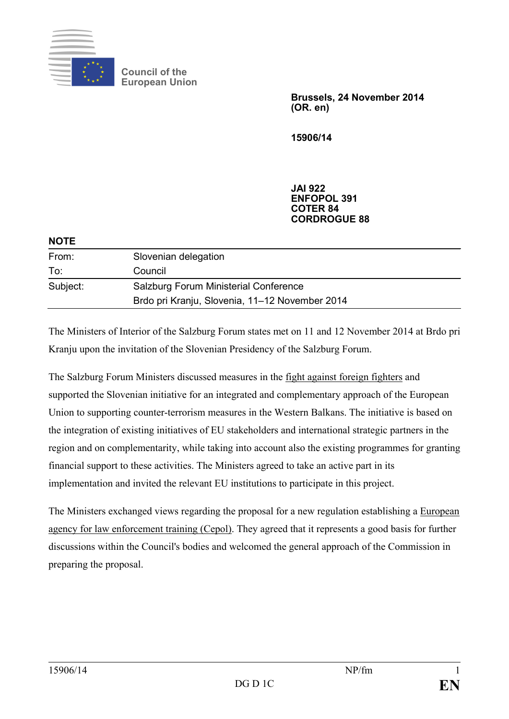

**Council of the European Union**

> **Brussels, 24 November 2014 (OR. en)**

**15906/14**

**JAI 922 ENFOPOL 391 COTER 84 CORDROGUE 88**

| <b>NOTE</b> |                                                |
|-------------|------------------------------------------------|
| From:       | Slovenian delegation                           |
| To:         | Council                                        |
| Subject:    | Salzburg Forum Ministerial Conference          |
|             | Brdo pri Kranju, Slovenia, 11-12 November 2014 |
|             |                                                |

The Ministers of Interior of the Salzburg Forum states met on 11 and 12 November 2014 at Brdo pri Kranju upon the invitation of the Slovenian Presidency of the Salzburg Forum.

The Salzburg Forum Ministers discussed measures in the fight against foreign fighters and supported the Slovenian initiative for an integrated and complementary approach of the European Union to supporting counter-terrorism measures in the Western Balkans. The initiative is based on the integration of existing initiatives of EU stakeholders and international strategic partners in the region and on complementarity, while taking into account also the existing programmes for granting financial support to these activities. The Ministers agreed to take an active part in its implementation and invited the relevant EU institutions to participate in this project.

The Ministers exchanged views regarding the proposal for a new regulation establishing a European agency for law enforcement training (Cepol). They agreed that it represents a good basis for further discussions within the Council's bodies and welcomed the general approach of the Commission in preparing the proposal.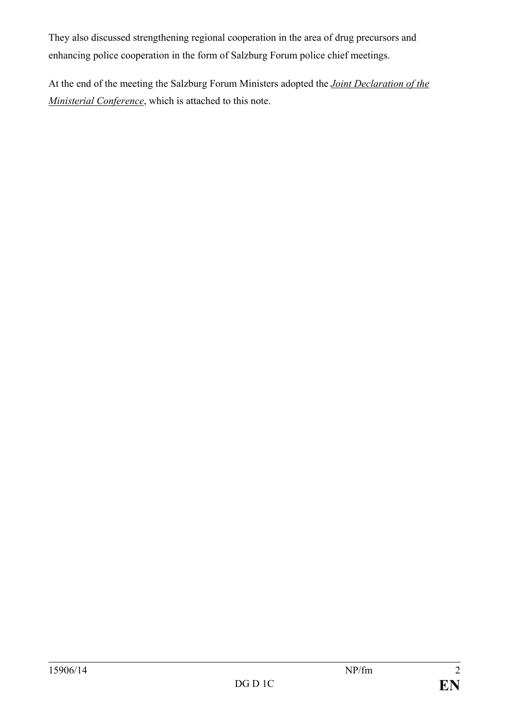They also discussed strengthening regional cooperation in the area of drug precursors and enhancing police cooperation in the form of Salzburg Forum police chief meetings.

At the end of the meeting the Salzburg Forum Ministers adopted the *Joint Declaration of the Ministerial Conference*, which is attached to this note.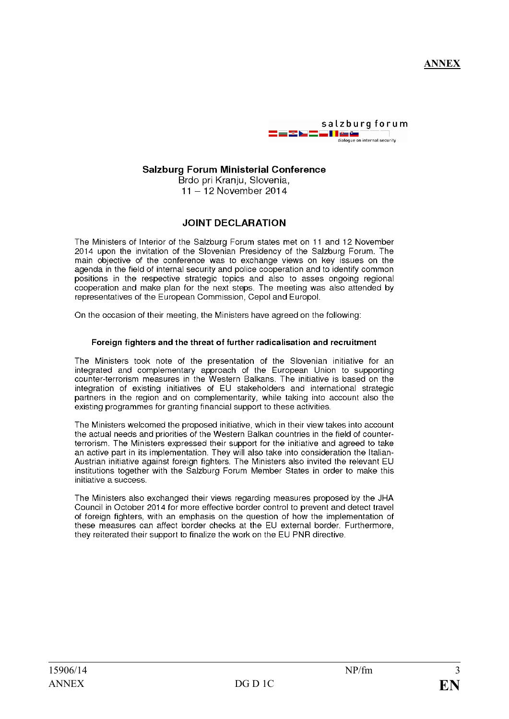

#### salzburg forum <u>. I le ûn</u> dialogue on internal security

# **Salzburg Forum Ministerial Conference**

Brdo pri Kranju, Slovenia, 11 - 12 November 2014

# **JOINT DECLARATION**

The Ministers of Interior of the Salzburg Forum states met on 11 and 12 November 2014 upon the invitation of the Slovenian Presidency of the Salzburg Forum. The main objective of the conference was to exchange views on key issues on the agenda in the field of internal security and police cooperation and to identify common positions in the respective strategic topics and also to asses ongoing regional cooperation and make plan for the next steps. The meeting was also attended by representatives of the European Commission. Cepol and Europol.

On the occasion of their meeting, the Ministers have agreed on the following:

## Foreign fighters and the threat of further radicalisation and recruitment

The Ministers took note of the presentation of the Slovenian initiative for an integrated and complementary approach of the European Union to supporting counter-terrorism measures in the Western Balkans. The initiative is based on the integration of existing initiatives of EU stakeholders and international strategic partners in the region and on complementarity, while taking into account also the existing programmes for granting financial support to these activities.

The Ministers welcomed the proposed initiative, which in their view takes into account the actual needs and priorities of the Western Balkan countries in the field of counterterrorism. The Ministers expressed their support for the initiative and agreed to take an active part in its implementation. They will also take into consideration the Italian-Austrian initiative against foreign fighters. The Ministers also invited the relevant EU institutions together with the Salzburg Forum Member States in order to make this initiative a success.

The Ministers also exchanged their views regarding measures proposed by the JHA Council in October 2014 for more effective border control to prevent and detect travel of foreign fighters, with an emphasis on the question of how the implementation of these measures can affect border checks at the EU external border. Furthermore, they reiterated their support to finalize the work on the EU PNR directive.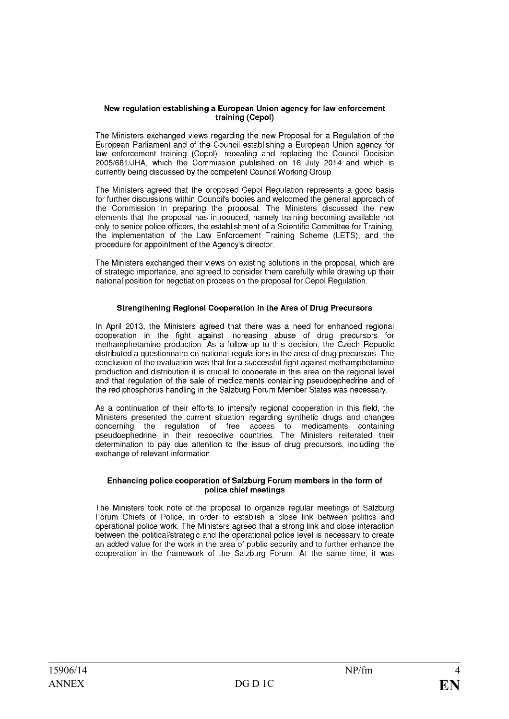#### New regulation establishing a European Union agency for law enforcement training (Cepol)

The Ministers exchanged views regarding the new Proposal for a Regulation of the European Parliament and of the Council establishing a European Union agency for law enforcement training (Cepol), repealing and replacing the Council Decision 2005/681/JHA, which the Commission published on 16 July 2014 and which is currently being discussed by the competent Council Working Group.

The Ministers agreed that the proposed Cepol Regulation represents a good basis for further discussions within Council's bodies and welcomed the general approach of the Commission in preparing the proposal. The Ministers discussed the new elements that the proposal has introduced, namely training becoming available not only to senior police officers, the establishment of a Scientific Committee for Training, the implementation of the Law Enforcement Training Scheme (LETS), and the procedure for appointment of the Agency's director.

The Ministers exchanged their views on existing solutions in the proposal, which are of strategic importance, and agreed to consider them carefully while drawing up their national position for negotiation process on the proposal for Cepol Regulation.

### Strengthening Regional Cooperation in the Area of Drug Precursors

In April 2013, the Ministers agreed that there was a need for enhanced regional cooperation in the fight against increasing abuse of drug precursors for methamphetamine production. As a follow-up to this decision, the Czech Republic distributed a questionnaire on national regulations in the area of drug precursors. The conclusion of the evaluation was that for a successful fight against methamphetamine production and distribution it is crucial to cooperate in this area on the regional level and that regulation of the sale of medicaments containing pseudoephedrine and of the red phosphorus handling in the Salzburg Forum Member States was necessary.

As a continuation of their efforts to intensify regional cooperation in this field, the Ministers presented the current situation regarding synthetic drugs and changes concerning the regulation of free access to medicaments containing<br>pseudoephedrine in their respective countries. The Ministers reiterated their determination to pay due attention to the issue of drug precursors, including the exchange of relevant information.

#### Enhancing police cooperation of Salzburg Forum members in the form of police chief meetings

The Ministers took note of the proposal to organize regular meetings of Salzburg Forum Chiefs of Police, in order to establish a close link between politics and operational police work. The Ministers agreed that a strong link and close interaction between the political/strategic and the operational police level is necessary to create an added value for the work in the area of public security and to further enhance the cooperation in the framework of the Salzburg Forum. At the same time, it was